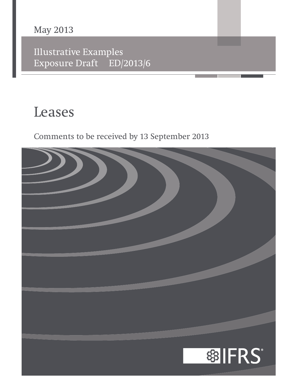# **May 2013**

Illustrative Examples Exposure Draft ED/2013/6

# **Leases**

Comments to be received by 13 September 2013

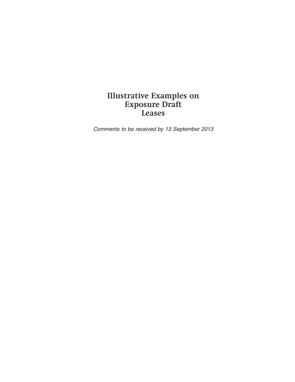# **Illustrative Examples on Exposure Draft Leases**

Comments to be received by 13 September 2013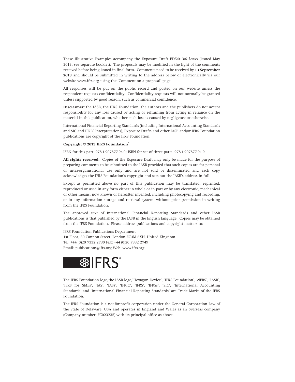These Illustrative Examples accompany the Exposure Draft ED/2013/6 *Leases* (issued May 2013; see separate booklet). The proposals may be modified in the light of the comments received before being issued in final form. Comments need to be received by **13 September 2013** and should be submitted in writing to the address below or electronically via our website www.ifrs.org using the 'Comment on a proposal' page.

All responses will be put on the public record and posted on our website unless the respondent requests confidentiality. Confidentiality requests will not normally be granted unless supported by good reason, such as commercial confidence.

**Disclaimer:** the IASB, the IFRS Foundation, the authors and the publishers do not accept responsibility for any loss caused by acting or refraining from acting in reliance on the material in this publication, whether such loss is caused by negligence or otherwise.

International Financial Reporting Standards (including International Accounting Standards and SIC and IFRIC Interpretations), Exposure Drafts and other IASB and/or IFRS Foundation publications are copyright of the IFRS Foundation.

#### **Copyright © 2013 IFRS Foundation®**

ISBN for this part: 978-1-907877-94-0; ISBN for set of three parts: 978-1-907877-91-9

**All rights reserved.** Copies of the Exposure Draft may only be made for the purpose of preparing comments to be submitted to the IASB provided that such copies are for personal or intra-organisational use only and are not sold or disseminated and each copy acknowledges the IFRS Foundation's copyright and sets out the IASB's address in full.

Except as permitted above no part of this publication may be translated, reprinted, reproduced or used in any form either in whole or in part or by any electronic, mechanical or other means, now known or hereafter invented, including photocopying and recording, or in any information storage and retrieval system, without prior permission in writing from the IFRS Foundation.

The approved text of International Financial Reporting Standards and other IASB publications is that published by the IASB in the English language. Copies may be obtained from the IFRS Foundation. Please address publications and copyright matters to:

IFRS Foundation Publications Department 1st Floor, 30 Cannon Street, London EC4M 6XH, United Kingdom Tel: +44 (0)20 7332 2730 Fax: +44 (0)20 7332 2749 Email: publications@ifrs.org Web: www.ifrs.org



The IFRS Foundation logo/the IASB logo/'Hexagon Device', 'IFRS Foundation', '*e*IFRS', 'IASB', 'IFRS for SMEs', 'IAS', 'IASs', 'IFRIC', 'IFRS', 'IFRSs', 'SIC', 'International Accounting Standards' and 'International Financial Reporting Standards' are Trade Marks of the IFRS Foundation.

The IFRS Foundation is a not-for-profit corporation under the General Corporation Law of the State of Delaware, USA and operates in England and Wales as an overseas company (Company number: FC023235) with its principal office as above.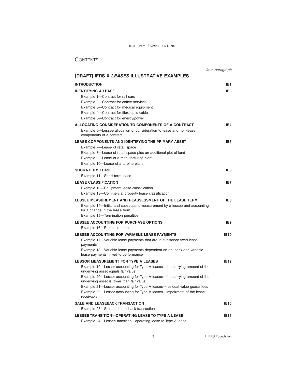|                                                                                                                        | from paragraph  |
|------------------------------------------------------------------------------------------------------------------------|-----------------|
| [DRAFT] IFRS X LEASES ILLUSTRATIVE EXAMPLES                                                                            |                 |
| <b>INTRODUCTION</b>                                                                                                    | IE <sub>1</sub> |
| <b>IDENTIFYING A LEASE</b>                                                                                             | IE <sub>3</sub> |
| Example 1-Contract for rail cars                                                                                       |                 |
| Example 2-Contract for coffee services                                                                                 |                 |
| Example 3-Contract for medical equipment                                                                               |                 |
| Example 4-Contract for fibre-optic cable                                                                               |                 |
| Example 5-Contract for energy/power                                                                                    |                 |
| ALLOCATING CONSIDERATION TO COMPONENTS OF A CONTRACT                                                                   | IE <sub>4</sub> |
| Example 6—Lessee allocation of consideration to lease and non-lease<br>components of a contract                        |                 |
| <b>LEASE COMPONENTS AND IDENTIFYING THE PRIMARY ASSET</b>                                                              | IE <sub>5</sub> |
| Example 7-Lease of retail space                                                                                        |                 |
| Example 8—Lease of retail space plus an additional plot of land                                                        |                 |
| Example 9—Lease of a manufacturing plant                                                                               |                 |
| Example 10-Lease of a turbine plant                                                                                    |                 |
| <b>SHORT-TERM LEASE</b>                                                                                                | IE6             |
| Example 11-Short-term lease                                                                                            |                 |
| <b>LEASE CLASSIFICATION</b>                                                                                            | IE7             |
| Example 12-Equipment lease classification                                                                              |                 |
| Example 13-Commercial property lease classification                                                                    |                 |
| LESSEE MEASUREMENT AND REASSESSMENT OF THE LEASE TERM                                                                  | IE8             |
| Example 14—Initial and subsequent measurement by a lessee and accounting                                               |                 |
| for a change in the lease term<br>Example 15-Termination penalties                                                     |                 |
| <b>LESSEE ACCOUNTING FOR PURCHASE OPTIONS</b>                                                                          | IE9             |
| Example 16-Purchase option                                                                                             |                 |
| LESSEE ACCOUNTING FOR VARIABLE LEASE PAYMENTS                                                                          | <b>IE10</b>     |
| Example 17—Variable lease payments that are in-substance fixed lease                                                   |                 |
| payments                                                                                                               |                 |
| Example 18—Variable lease payments dependent on an index and variable<br>lease payments linked to performance          |                 |
| <b>LESSOR MEASUREMENT FOR TYPE A LEASES</b>                                                                            | <b>IE12</b>     |
| Example 19—Lessor accounting for Type A leases—the carrying amount of the<br>underlying asset equals fair value        |                 |
| Example 20—Lessor accounting for Type A leases—the carrying amount of the<br>underlying asset is lower than fair value |                 |
| Example 21-Lessor accounting for Type A leases-residual value guarantees                                               |                 |
| Example 22—Lessor accounting for Type A leases—impairment of the lease<br>receivable                                   |                 |
| <b>SALE AND LEASEBACK TRANSACTION</b>                                                                                  | <b>IE15</b>     |
| Example 23-Sale and leaseback transaction                                                                              |                 |
| LESSEE TRANSITION-OPERATING LEASE TO TYPE A LEASE                                                                      | <b>IE16</b>     |
| Example 24—Lessee transition—operating lease to Type A lease                                                           |                 |

**3 B** IFRS Foundation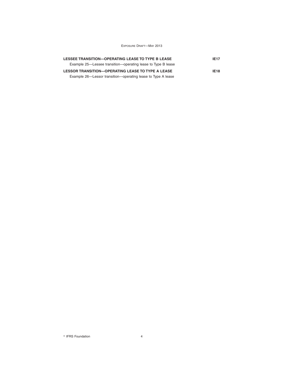| LESSEE TRANSITION-OPERATING LEASE TO TYPE B LEASE<br>Example 25—Lessee transition—operating lease to Type B lease        | <b>IE17</b> |  |
|--------------------------------------------------------------------------------------------------------------------------|-------------|--|
| <b>LESSOR TRANSITION-OPERATING LEASE TO TYPE A LEASE</b><br>Example 26—Lessor transition—operating lease to Type A lease | <b>IE18</b> |  |

 $\degree$  IFRS Foundation  $4$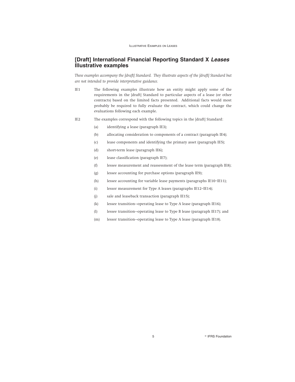## **[Draft] International Financial Reporting Standard X Leases Illustrative examples**

*These examples accompany the [draft] Standard. They illustrate aspects of the [draft] Standard but are not intended to provide interpretative guidance.*

- IE1 The following examples illustrate how an entity might apply some of the requirements in the [draft] Standard to particular aspects of a lease (or other contracts) based on the limited facts presented. Additional facts would most probably be required to fully evaluate the contract, which could change the evaluations following each example.
- IE2 The examples correspond with the following topics in the [draft] Standard:
	- (a) identifying a lease (paragraph IE3);
	- (b) allocating consideration to components of a contract (paragraph IE4);
	- (c) lease components and identifying the primary asset (paragraph IE5);
	- (d) short-term lease (paragraph IE6);
	- (e) lease classification (paragraph IE7);
	- (f) lessee measurement and reassessment of the lease term (paragraph IE8);
	- (g) lessee accounting for purchase options (paragraph IE9);
	- (h) lessee accounting for variable lease payments (paragraphs IE10–IE11);
	- (i) lessor measurement for Type A leases (paragraphs IE12–IE14);
	- (j) sale and leaseback transaction (paragraph IE15);
	- (k) lessee transition—operating lease to Type A lease (paragraph IE16);
	- (l) lessee transition—operating lease to Type B lease (paragraph IE17); and
	- (m) lessor transition—operating lease to Type A lease (paragraph IE18).

5 **B** IFRS Foundation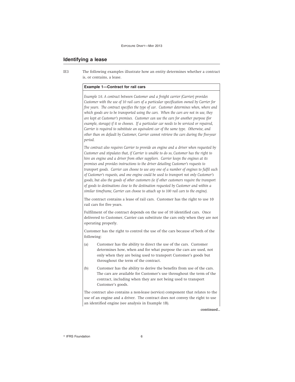## **Identifying a lease**

IE3 The following examples illustrate how an entity determines whether a contract is, or contains, a lease.

## **Example 1—Contract for rail cars**

*Example 1A: A contract between Customer and a freight carrier (Carrier) provides Customer with the use of 10 rail cars of a particular specification owned by Carrier for five years. The contract specifies the type of car. Customer determines when, where and which goods are to be transported using the cars. When the cars are not in use, they are kept at Customer's premises. Customer can use the cars for another purpose (for example, storage) if it so chooses. If a particular car needs to be serviced or repaired, Carrier is required to substitute an equivalent car of the same type. Otherwise, and other than on default by Customer, Carrier cannot retrieve the cars during the five-year period.*

*The contract also requires Carrier to provide an engine and a driver when requested by Customer and stipulates that, if Carrier is unable to do so, Customer has the right to hire an engine and a driver from other suppliers. Carrier keeps the engines at its premises and provides instructions to the driver detailing Customer's requests to transport goods. Carrier can choose to use any one of a number of engines to fulfil each of Customer's requests, and one engine could be used to transport not only Customer's goods, but also the goods of other customers (ie if other customers require the transport of goods to destinations close to the destination requested by Customer and within a similar timeframe, Carrier can choose to attach up to 100 rail cars to the engine).*

The contract contains a lease of rail cars. Customer has the right to use 10 rail cars for five years.

Fulfilment of the contract depends on the use of 10 identified cars. Once delivered to Customer, Carrier can substitute the cars only when they are not operating properly.

Customer has the right to control the use of the cars because of both of the following:

- (a) Customer has the ability to direct the use of the cars. Customer determines how, when and for what purpose the cars are used, not only when they are being used to transport Customer's goods but throughout the term of the contract.
- (b) Customer has the ability to derive the benefits from use of the cars. The cars are available for Customer's use throughout the term of the contract, including when they are not being used to transport Customer's goods.

The contract also contains a non-lease (service) component that relates to the use of an engine and a driver. The contract does not convey the right to use an identified engine (see analysis in Example 1B).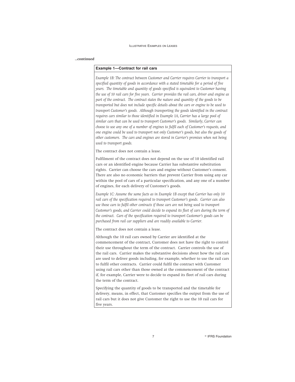#### *...continued*

## **Example 1—Contract for rail cars**

*Example 1B: The contract between Customer and Carrier requires Carrier to transport a specified quantity of goods in accordance with a stated timetable for a period of five years. The timetable and quantity of goods specified is equivalent to Customer having the use of 10 rail cars for five years. Carrier provides the rail cars, driver and engine as part of the contract. The contract states the nature and quantity of the goods to be transported but does not include specific details about the cars or engine to be used to transport Customer's goods. Although transporting the goods identified in the contract requires cars similar to those identified in Example 1A, Carrier has a large pool of similar cars that can be used to transport Customer's goods. Similarly, Carrier can choose to use any one of a number of engines to fulfil each of Customer's requests, and one engine could be used to transport not only Customer's goods, but also the goods of other customers. The cars and engines are stored in Carrier's premises when not being used to transport goods.*

The contract does not contain a lease.

Fulfilment of the contract does not depend on the use of 10 identified rail cars or an identified engine because Carrier has substantive substitution rights. Carrier can choose the cars and engine without Customer's consent. There are also no economic barriers that prevent Carrier from using any car within the pool of cars of a particular specification, and any one of a number of engines, for each delivery of Customer's goods.

*Example 1C: Assume the same facts as in Example 1B except that Carrier has only 10 rail cars of the specification required to transport Customer's goods. Carrier can also use those cars to fulfil other contracts if those cars are not being used to transport Customer's goods, and Carrier could decide to expand its fleet of cars during the term of the contract. Cars of the specification required to transport Customer's goods can be purchased from rail car suppliers and are readily available to Carrier.*

The contract does not contain a lease.

Although the 10 rail cars owned by Carrier are identified at the commencement of the contract, Customer does not have the right to control their use throughout the term of the contract. Carrier controls the use of the rail cars. Carrier makes the substantive decisions about how the rail cars are used to deliver goods including, for example, whether to use the rail cars to fulfil other contracts. Carrier could fulfil the contract with Customer using rail cars other than those owned at the commencement of the contract if, for example, Carrier were to decide to expand its fleet of rail cars during the term of the contract.

Specifying the quantity of goods to be transported and the timetable for delivery, means, in effect, that Customer specifies the output from the use of rail cars but it does not give Customer the right to use the 10 rail cars for five years.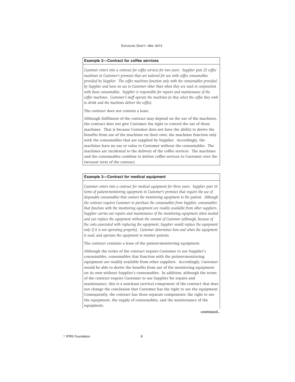#### **Example 2—Contract for coffee services**

*Customer enters into a contract for coffee services for two years. Supplier puts 25 coffee machines in Customer's premises that are tailored for use with coffee consumables provided by Supplier. The coffee machines function only with the consumables provided by Supplier and have no use to Customer other than when they are used in conjunction with those consumables. Supplier is responsible for repairs and maintenance of the coffee machines. Customer's staff operate the machines (ie they select the coffee they wish to drink and the machines deliver the coffee).*

The contract does not contain a lease.

Although fulfilment of the contract may depend on the use of the machines, the contract does not give Customer the right to control the use of those machines. That is because Customer does not have the ability to derive the benefits from use of the machines on their own; the machines function only with the consumables that are supplied by Supplier. Accordingly, the machines have no use or value to Customer without the consumables. The machines are incidental to the delivery of the coffee services. The machines and the consumables combine to deliver coffee services to Customer over the two-year term of the contract.

#### **Example 3—Contract for medical equipment**

*Customer enters into a contract for medical equipment for three years. Supplier puts 10 items of patient-monitoring equipment in Customer's premises that require the use of disposable consumables that connect the monitoring equipment to the patient. Although the contract requires Customer to purchase the consumables from Supplier, consumables that function with the monitoring equipment are readily available from other suppliers. Supplier carries out repairs and maintenance of the monitoring equipment when needed and can replace the equipment without the consent of Customer (although, because of the costs associated with replacing the equipment, Supplier would replace the equipment only if it is not operating properly). Customer determines how and when the equipment is used, and operates the equipment to monitor patients.*

The contract contains a lease of the patient-monitoring equipment.

Although the terms of the contract require Customer to use Supplier's consumables, consumables that function with the patient-monitoring equipment are readily available from other suppliers. Accordingly, Customer would be able to derive the benefits from use of the monitoring equipment on its own without Supplier's consumables. In addition, although the terms of the contract require Customer to use Supplier for repairs and maintenance, this is a non-lease (service) component of the contract that does not change the conclusion that Customer has the right to use the equipment. Consequently, the contract has three separate components: the right to use the equipment, the supply of consumables, and the maintenance of the equipment.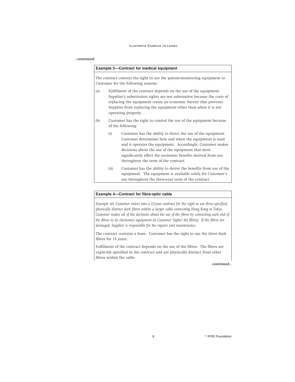## *...continued*

| <b>Example 3-Contract for medical equipment</b>                                                                                                                                                                                                                                                                 |                                                                                         |                                                                                                                                                                                                                                                                                                                                                   |
|-----------------------------------------------------------------------------------------------------------------------------------------------------------------------------------------------------------------------------------------------------------------------------------------------------------------|-----------------------------------------------------------------------------------------|---------------------------------------------------------------------------------------------------------------------------------------------------------------------------------------------------------------------------------------------------------------------------------------------------------------------------------------------------|
|                                                                                                                                                                                                                                                                                                                 |                                                                                         | The contract conveys the right to use the patient-monitoring equipment to<br>Customer for the following reasons:                                                                                                                                                                                                                                  |
| (a)<br>Fulfilment of the contract depends on the use of the equipment.<br>Supplier's substitution rights are not substantive because the costs of<br>replacing the equipment create an economic barrier that prevents<br>Supplier from replacing the equipment other than when it is not<br>operating properly. |                                                                                         |                                                                                                                                                                                                                                                                                                                                                   |
| (b)                                                                                                                                                                                                                                                                                                             | Customer has the right to control the use of the equipment because<br>of the following: |                                                                                                                                                                                                                                                                                                                                                   |
|                                                                                                                                                                                                                                                                                                                 | (i)                                                                                     | Customer has the ability to direct the use of the equipment.<br>Customer determines how and when the equipment is used<br>and it operates the equipment. Accordingly, Customer makes<br>decisions about the use of the equipment that most<br>significantly affect the economic benefits derived from use<br>throughout the term of the contract. |
|                                                                                                                                                                                                                                                                                                                 | (ii)                                                                                    | Customer has the ability to derive the benefits from use of the<br>equipment. The equipment is available solely for Customer's<br>use throughout the three-year term of the contract.                                                                                                                                                             |

## **Example 4—Contract for fibre-optic cable**

*Example 4A: Customer enters into a 15-year contract for the right to use three specified, physically distinct dark fibres within a larger cable connecting Hong Kong to Tokyo. Customer makes all of the decisions about the use of the fibres by connecting each end of the fibres to its electronics equipment (ie Customer 'lights' the fibres). If the fibres are damaged, Supplier is responsible for the repairs and maintenance.*

The contract contains a lease. Customer has the right to use the three dark fibres for 15 years.

Fulfilment of the contract depends on the use of the fibres. The fibres are explicitly specified in the contract and are physically distinct from other fibres within the cable.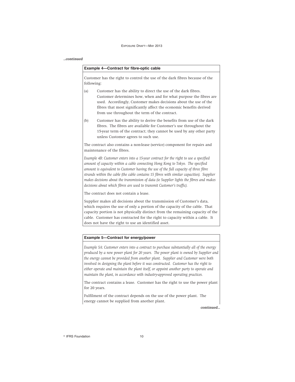#### *...continued*

#### **Example 4—Contract for fibre-optic cable**

Customer has the right to control the use of the dark fibres because of the following:

- (a) Customer has the ability to direct the use of the dark fibres. Customer determines how, when and for what purpose the fibres are used. Accordingly, Customer makes decisions about the use of the fibres that most significantly affect the economic benefits derived from use throughout the term of the contract.
- (b) Customer has the ability to derive the benefits from use of the dark fibres. The fibres are available for Customer's use throughout the 15-year term of the contract; they cannot be used by any other party unless Customer agrees to such use.

The contract also contains a non-lease (service) component for repairs and maintenance of the fibres.

*Example 4B: Customer enters into a 15-year contract for the right to use a specified amount of capacity within a cable connecting Hong Kong to Tokyo. The specified amount is equivalent to Customer having the use of the full capacity of three fibre strands within the cable (the cable contains 15 fibres with similar capacities). Supplier makes decisions about the transmission of data (ie Supplier lights the fibres and makes decisions about which fibres are used to transmit Customer's traffic).*

The contract does not contain a lease.

Supplier makes all decisions about the transmission of Customer's data, which requires the use of only a portion of the capacity of the cable. That capacity portion is not physically distinct from the remaining capacity of the cable. Customer has contracted for the right to capacity within a cable. It does not have the right to use an identified asset.

## **Example 5—Contract for energy/power**

*Example 5A: Customer enters into a contract to purchase substantially all of the energy produced by a new power plant for 20 years. The power plant is owned by Supplier and the energy cannot be provided from another plant. Supplier and Customer were both involved in designing the plant before it was constructed. Customer has the right to either operate and maintain the plant itself, or appoint another party to operate and maintain the plant, in accordance with industry-approved operating practices.*

The contract contains a lease. Customer has the right to use the power plant for 20 years.

Fulfilment of the contract depends on the use of the power plant. The energy cannot be supplied from another plant.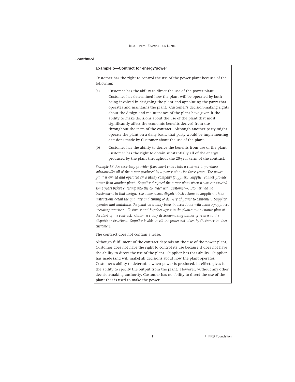#### *...continued*

#### **Example 5—Contract for energy/power**

Customer has the right to control the use of the power plant because of the following:

- (a) Customer has the ability to direct the use of the power plant. Customer has determined how the plant will be operated by both being involved in designing the plant and appointing the party that operates and maintains the plant. Customer's decision-making rights about the design and maintenance of the plant have given it the ability to make decisions about the use of the plant that most significantly affect the economic benefits derived from use throughout the term of the contract. Although another party might operate the plant on a daily basis, that party would be implementing decisions made by Customer about the use of the plant.
- (b) Customer has the ability to derive the benefits from use of the plant. Customer has the right to obtain substantially all of the energy produced by the plant throughout the 20-year term of the contract.

*Example 5B: An electricity provider (Customer) enters into a contract to purchase substantially all of the power produced by a power plant for three years. The power plant is owned and operated by a utility company (Supplier). Supplier cannot provide power from another plant. Supplier designed the power plant when it was constructed some years before entering into the contract with Customer—Customer had no involvement in that design. Customer issues dispatch instructions to Supplier. Those instructions detail the quantity and timing of delivery of power to Customer. Supplier operates and maintains the plant on a daily basis in accordance with industry-approved operating practices. Customer and Supplier agree to the plant's maintenance plan at the start of the contract. Customer's only decision-making authority relates to the dispatch instructions. Supplier is able to sell the power not taken by Customer to other customers.*

The contract does not contain a lease.

Although fulfillment of the contract depends on the use of the power plant, Customer does not have the right to control its use because it does not have the ability to direct the use of the plant. Supplier has that ability. Supplier has made (and will make) all decisions about how the plant operates. Customer's ability to determine when power is produced, in effect, gives it the ability to specify the output from the plant. However, without any other decision-making authority, Customer has no ability to direct the use of the plant that is used to make the power.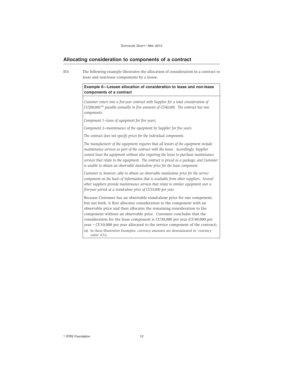## **Allocating consideration to components of a contract**

IE4 The following example illustrates the allocation of consideration in a contract to lease and non-lease components by a lessee.

## **Example 6—Lessee allocation of consideration to lease and non-lease components of a contract**

*Customer enters into a five-year contract with Supplier for a total consideration of CU200,000,(a) payable annually in five amounts of CU40,000. The contract has two components:*

*Component 1—lease of equipment for five years;*

*Component 2—maintenance of the equipment by Supplier for five years.*

*The contract does not specify prices for the individual components.*

*The manufacturer of the equipment requires that all lessors of the equipment include maintenance services as part of the contract with the lessee. Accordingly, Supplier cannot lease the equipment without also requiring the lessee to purchase maintenance services that relate to the equipment. The contract is priced as a package, and Customer is unable to obtain an observable stand-alone price for the lease component.*

*Customer is, however, able to obtain an observable stand-alone price for the service component on the basis of information that is available from other suppliers. Several other suppliers provide maintenance services that relate to similar equipment over a five-year period at a stand-alone price of CU10,000 per year.*

Because Customer has an observable stand-alone price for one component, but not both, it first allocates consideration to the component with an observable price and then allocates the remaining consideration to the component without an observable price. Customer concludes that the consideration for the lease component is CU30,000 per year (CU40,000 per year – CU10,000 per year allocated to the service component of the contract). (a) In these Illustrative Examples, currency amounts are denominated in 'currency units' (CU).

<sup>©</sup> IFRS Foundation 12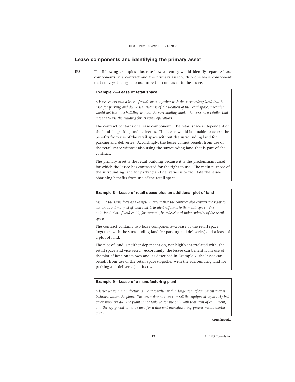## **Lease components and identifying the primary asset**

IE5 The following examples illustrate how an entity would identify separate lease components in a contract and the primary asset within one lease component that conveys the right to use more than one asset to the lessee.

## **Example 7—Lease of retail space**

*A lessee enters into a lease of retail space together with the surrounding land that is used for parking and deliveries. Because of the location of the retail space, a retailer would not lease the building without the surrounding land. The lessee is a retailer that intends to use the building for its retail operations.*

The contract contains one lease component. The retail space is dependent on the land for parking and deliveries. The lessee would be unable to access the benefits from use of the retail space without the surrounding land for parking and deliveries. Accordingly, the lessee cannot benefit from use of the retail space without also using the surrounding land that is part of the contract.

The primary asset is the retail building because it is the predominant asset for which the lessee has contracted for the right to use. The main purpose of the surrounding land for parking and deliveries is to facilitate the lessee obtaining benefits from use of the retail space.

#### **Example 8—Lease of retail space plus an additional plot of land**

*Assume the same facts as Example 7, except that the contract also conveys the right to use an additional plot of land that is located adjacent to the retail space. The additional plot of land could, for example, be redeveloped independently of the retail space.*

The contract contains two lease components—a lease of the retail space (together with the surrounding land for parking and deliveries) and a lease of a plot of land.

The plot of land is neither dependent on, nor highly interrelated with, the retail space and vice versa. Accordingly, the lessee can benefit from use of the plot of land on its own and, as described in Example 7, the lessee can benefit from use of the retail space (together with the surrounding land for parking and deliveries) on its own.

#### **Example 9—Lease of a manufacturing plant**

*A lessee leases a manufacturing plant together with a large item of equipment that is installed within the plant. The lessor does not lease or sell the equipment separately but other suppliers do. The plant is not tailored for use only with that item of equipment, and the equipment could be used for a different manufacturing process within another plant.*

*continued...*

13 **R IFRS Foundation**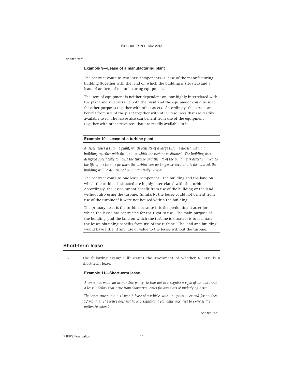#### *...continued*

## **Example 9—Lease of a manufacturing plant**

The contract contains two lease components—a lease of the manufacturing building (together with the land on which the building is situated) and a lease of an item of manufacturing equipment.

The item of equipment is neither dependent on, nor highly interrelated with, the plant and vice versa, ie both the plant and the equipment could be used for other purposes together with other assets. Accordingly, the lessee can benefit from use of the plant together with other resources that are readily available to it. The lessee also can benefit from use of the equipment together with other resources that are readily available to it.

#### **Example 10—Lease of a turbine plant**

*A lessee leases a turbine plant, which consists of a large turbine housed within a building, together with the land on which the turbine is situated. The building was designed specifically to house the turbine and the life of the building is directly linked to the life of the turbine (ie when the turbine can no longer be used and is dismantled, the building will be demolished or substantially rebuilt).*

The contract contains one lease component. The building and the land on which the turbine is situated are highly interrelated with the turbine. Accordingly, the lessee cannot benefit from use of the building or the land without also using the turbine. Similarly, the lessee could not benefit from use of the turbine if it were not housed within the building.

The primary asset is the turbine because it is the predominant asset for which the lessee has contracted for the right to use. The main purpose of the building (and the land on which the turbine is situated) is to facilitate the lessee obtaining benefits from use of the turbine. The land and building would have little, if any, use or value to the lessee without the turbine.

## **Short-term lease**

IE6 The following example illustrates the assessment of whether a lease is a short-term lease.

## **Example 11—Short-term lease**

*A lessee has made an accounting policy election not to recognise a right-of-use asset and a lease liability that arise from short-term leases for any class of underlying asset.*

*The lessee enters into a 12-month lease of a vehicle, with an option to extend for another 12 months. The lessee does not have a significant economic incentive to exercise the option to extend.*

*continued...*

<sup>©</sup> IFRS Foundation 14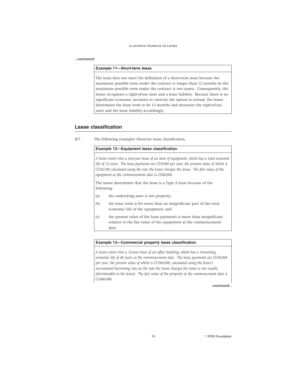#### *...continued*

## **Example 11—Short-term lease**

The lease does not meet the definition of a short-term lease because the maximum possible term under the contract is longer than 12 months (ie the maximum possible term under the contract is two years). Consequently, the lessee recognises a right-of-use asset and a lease liability. Because there is no significant economic incentive to exercise the option to extend, the lessee determines the lease term to be 12 months and measures the right-of-use asset and the lease liability accordingly.

## **Lease classification**

IE7 The following examples illustrate lease classification.

## **Example 12—Equipment lease classification**

*A lessee enters into a two-year lease of an item of equipment, which has a total economic life of 12 years. The lease payments are CU9,000 per year, the present value of which is CU16,700 calculated using the rate the lessor charges the lessee. The fair value of the equipment at the commencement date is CU60,000.*

The lessee determines that the lease is a Type A lease because of the following:

- (a) the underlying asset is not property;
- (b) the lease term is for more than an insignificant part of the total economic life of the equipment; and
- (c) the present value of the lease payments is more than insignificant relative to the fair value of the equipment at the commencement date.

## **Example 13—Commercial property lease classification**

*A lessee enters into a 15-year lease of an office building, which has a remaining economic life of 40 years at the commencement date. The lease payments are CU30,000 per year, the present value of which is CU300,000, calculated using the lessee's incremental borrowing rate (ie the rate the lessor charges the lessee is not readily determinable to the lessee). The fair value of the property at the commencement date is CU400,000.*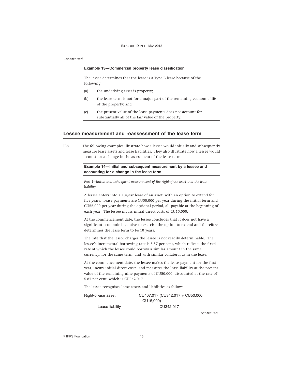#### *...continued*

| Example 13-Commercial property lease classification |                                                                                                                      |  |
|-----------------------------------------------------|----------------------------------------------------------------------------------------------------------------------|--|
|                                                     | The lessee determines that the lease is a Type B lease because of the<br>following:                                  |  |
| (a)                                                 | the underlying asset is property;                                                                                    |  |
| (b)                                                 | the lease term is not for a major part of the remaining economic life<br>of the property; and                        |  |
| (c)                                                 | the present value of the lease payments does not account for<br>substantially all of the fair value of the property. |  |

## **Lessee measurement and reassessment of the lease term**

| IE8 | The following examples illustrate how a lessee would initially and subsequently     |
|-----|-------------------------------------------------------------------------------------|
|     | measure lease assets and lease liabilities. They also illustrate how a lessee would |
|     | account for a change in the assessment of the lease term.                           |

**Example 14—Initial and subsequent measurement by a lessee and accounting for a change in the lease term**

*Part 1—Initial and subsequent measurement of the right-of-use asset and the lease liability*

A lessee enters into a 10-year lease of an asset, with an option to extend for five years. Lease payments are CU50,000 per year during the initial term and CU55,000 per year during the optional period, all payable at the beginning of each year. The lessee incurs initial direct costs of CU15,000.

At the commencement date, the lessee concludes that it does not have a significant economic incentive to exercise the option to extend and therefore determines the lease term to be 10 years.

The rate that the lessor charges the lessee is not readily determinable. The lessee's incremental borrowing rate is 5.87 per cent, which reflects the fixed rate at which the lessee could borrow a similar amount in the same currency, for the same term, and with similar collateral as in the lease.

At the commencement date, the lessee makes the lease payment for the first year, incurs initial direct costs, and measures the lease liability at the present value of the remaining nine payments of CU50,000, discounted at the rate of 5.87 per cent, which is CU342,017.

The lessee recognises lease assets and liabilities as follows.

Right-of-use asset CU407,017 (CU342,017 + CU50,000  $+$  CU15,000) Lease liability CU342,017

*continued...*

<sup>©</sup> IFRS Foundation 16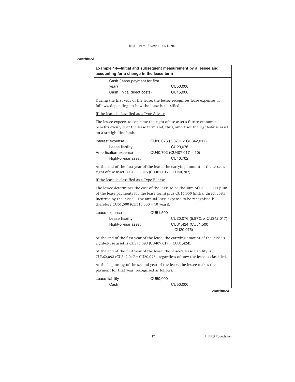## *...continued*

| Example 14-Initial and subsequent measurement by a lessee and<br>accounting for a change in the lease term               |          |                                                                                                                                                              |
|--------------------------------------------------------------------------------------------------------------------------|----------|--------------------------------------------------------------------------------------------------------------------------------------------------------------|
| Cash (lease payment for first<br>year)<br>Cash (initial direct costs)                                                    |          | CU50,000<br>CU15,000                                                                                                                                         |
| follows, depending on how the lease is classified.                                                                       |          | During the first year of the lease, the lessee recognises lease expenses as                                                                                  |
| If the lease is classified as a Type A lease                                                                             |          |                                                                                                                                                              |
| The lessee expects to consume the right-of-use asset's future economic<br>on a straight-line basis.                      |          | benefits evenly over the lease term and, thus, amortises the right-of-use asset                                                                              |
| Interest expense<br>Lease liability<br>Amortisation expense<br>Right-of-use asset                                        |          | CU20,076 (5.87% $\times$ CU342,017)<br>CU20,076<br>CU40,702 (CU407,017 ÷ 10)<br>CU40,702                                                                     |
| right-of-use asset is CU366,315 (CU407,017 - CU40,702).                                                                  |          | At the end of the first year of the lease, the carrying amount of the lessee's                                                                               |
| If the lease is classified as a Type B lease                                                                             |          |                                                                                                                                                              |
| incurred by the lessee). The annual lease expense to be recognised is<br>therefore CU51,500 (CU515,000 $\div$ 10 years). |          | The lessee determines the cost of the lease to be the sum of CU500,000 (sum<br>of the lease payments for the lease term) plus CU15,000 (initial direct costs |
| Lease expense<br>Lease liability<br>Right-of-use asset                                                                   | CU51,500 | CU20,076 (5.87% x CU342,017)<br>CU31,424 (CU51,500<br>$-$ CU20,076)                                                                                          |
| right-of-use asset is CU375,593 (CU407,017 - CU31,424).                                                                  |          | At the end of the first year of the lease, the carrying amount of the lessee's                                                                               |
| At the end of the first year of the lease, the lessee's lease liability is                                               |          | $CU362,093$ ( $CU342,017 + CU20,076$ ), regardless of how the lease is classified.                                                                           |
| At the beginning of the second year of the lease, the lessee makes the<br>payment for that year, recognised as follows.  |          |                                                                                                                                                              |
| Lease liability<br>Cash                                                                                                  | CU50,000 | CU50,000                                                                                                                                                     |
|                                                                                                                          |          | continued                                                                                                                                                    |
|                                                                                                                          |          |                                                                                                                                                              |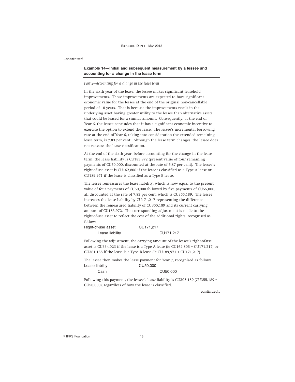#### *...continued*

## **Example 14—Initial and subsequent measurement by a lessee and accounting for a change in the lease term**

*Part 2—Accounting for a change in the lease term*

In the sixth year of the lease, the lessee makes significant leasehold improvements. Those improvements are expected to have significant economic value for the lessee at the end of the original non-cancellable period of 10 years. That is because the improvements result in the underlying asset having greater utility to the lessee than alternative assets that could be leased for a similar amount. Consequently, at the end of Year 6, the lessee concludes that it has a significant economic incentive to exercise the option to extend the lease. The lessee's incremental borrowing rate at the end of Year 6, taking into consideration the extended remaining lease term, is 7.83 per cent. Although the lease term changes, the lessee does not reassess the lease classification.

At the end of the sixth year, before accounting for the change in the lease term, the lease liability is CU183,972 (present value of four remaining payments of CU50,000, discounted at the rate of 5.87 per cent). The lessee's right-of-use asset is CU162,806 if the lease is classified as a Type A lease or CU189,971 if the lease is classified as a Type B lease.

The lessee remeasures the lease liability, which is now equal to the present value of four payments of CU50,000 followed by five payments of CU55,000, all discounted at the rate of 7.83 per cent, which is CU355,189. The lessee increases the lease liability by CU171,217 representing the difference between the remeasured liability of CU355,189 and its current carrying amount of CU183,972. The corresponding adjustment is made to the right-of-use asset to reflect the cost of the additional rights, recognised as follows.

Right-of-use asset CU171,217 Lease liability CU171,217

Following the adjustment, the carrying amount of the lessee's right-of-use asset is CU334,023 if the lease is a Type A lease (ie CU162,806 + CU171,217) or CU361,188 if the lease is a Type B lease (ie CU189,971 + CU171,217).

The lessee then makes the lease payment for Year 7, recognised as follows. Lease liability CU50,000 Cash CU50,000

Following this payment, the lessee's lease liability is CU305,189 (CU355,189 – CU50,000), regardless of how the lease is classified.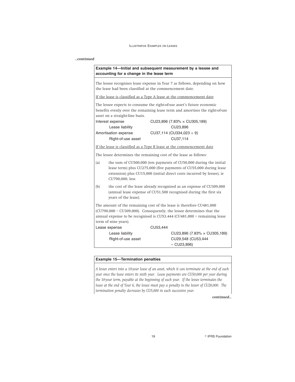## *...continued*

| Example 14—Initial and subsequent measurement by a lessee and |  |
|---------------------------------------------------------------|--|
| accounting for a change in the lease term                     |  |

The lessee recognises lease expense in Year 7 as follows, depending on how the lease had been classified at the commencement date.

If the lease is classified as a Type A lease at the commencement date

The lessee expects to consume the right-of-use asset's future economic benefits evenly over the remaining lease term and amortises the right-of-use asset on a straight-line basis.<br>Interest expense Interest expense CU23,896 (7.83% × CU305,189)

| interest expense     | CU23,890 17.83% X CU305,189 |
|----------------------|-----------------------------|
| Lease liability      | CU23.896                    |
| Amortisation expense | $CU37,114$ (CU334,023 ÷ 9)  |
| Right-of-use asset   | CU37.114                    |

If the lease is classified as a Type B lease at the commencement date

The lessee determines the remaining cost of the lease as follows:

- (a) the sum of CU500,000 (ten payments of CU50,000 during the initial lease term) plus CU275,000 (five payments of CU55,000 during lease extension) plus CU15,000 (initial direct costs incurred by lessee), ie CU790,000; less
- (b) the cost of the lease already recognised as an expense of CU309,000 (annual lease expense of CU51,500 recognised during the first six years of the lease).

The amount of the remaining cost of the lease is therefore CU481,000 (CU790,000 – CU309,000). Consequently, the lessee determines that the annual expense to be recognised is CU53,444 (CU481,000 ÷ remaining lease term of nine years).

Lease expense CU53,444

Lease liability CU23,896 (7.83% × CU305,189) Right-of-use asset CU29,548 (CU53,444 – CU23,896)

## **Example 15—Termination penalties**

*A lessee enters into a 10-year lease of an asset, which it can terminate at the end of each year once the lease enters its sixth year. Lease payments are CU50,000 per year during the 10-year term, payable at the beginning of each year. If the lessee terminates the lease at the end of Year 6, the lessee must pay a penalty to the lessor of CU20,000. The termination penalty decreases by CU5,000 in each successive year.*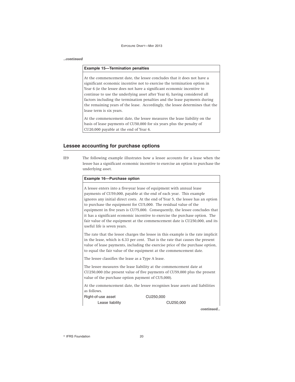## *...continued*

## **Example 15—Termination penalties**

At the commencement date, the lessee concludes that it does not have a significant economic incentive not to exercise the termination option in Year 6 (ie the lessee does not have a significant economic incentive to continue to use the underlying asset after Year 6), having considered all factors including the termination penalties and the lease payments during the remaining years of the lease. Accordingly, the lessee determines that the lease term is six years.

At the commencement date, the lessee measures the lease liability on the basis of lease payments of CU50,000 for six years plus the penalty of CU20,000 payable at the end of Year 6.

## **Lessee accounting for purchase options**

IE9 The following example illustrates how a lessee accounts for a lease when the lessee has a significant economic incentive to exercise an option to purchase the underlying asset.

| Example 16-Purchase option  |                                                                                  |
|-----------------------------|----------------------------------------------------------------------------------|
|                             | A lessee enters into a five-year lease of equipment with annual lease            |
|                             | payments of CU59,000, payable at the end of each year. This example              |
|                             | ignores any initial direct costs. At the end of Year 5, the lessee has an option |
|                             | to purchase the equipment for CU5,000. The residual value of the                 |
|                             | equipment in five years is CU75,000. Consequently, the lessee concludes that     |
|                             | it has a significant economic incentive to exercise the purchase option. The     |
|                             | fair value of the equipment at the commencement date is CU250,000, and its       |
| useful life is seven years. |                                                                                  |

The rate that the lessor charges the lessee in this example is the rate implicit in the lease, which is 6.33 per cent. That is the rate that causes the present value of lease payments, including the exercise price of the purchase option, to equal the fair value of the equipment at the commencement date.

The lessee classifies the lease as a Type A lease.

The lessee measures the lease liability at the commencement date at CU250,000 (the present value of five payments of CU59,000 plus the present value of the purchase option payment of CU5,000).

At the commencement date, the lessee recognises lease assets and liabilities as follows.

Right-of-use asset CU250,000

Lease liability CU250,000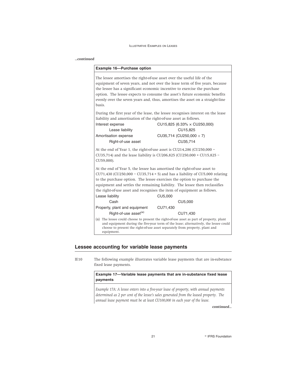## *...continued*

| Example 16-Purchase option                                                                                                                            |                                                                                                                                                                                                                                                                                                                                                                                                                |
|-------------------------------------------------------------------------------------------------------------------------------------------------------|----------------------------------------------------------------------------------------------------------------------------------------------------------------------------------------------------------------------------------------------------------------------------------------------------------------------------------------------------------------------------------------------------------------|
| basis.                                                                                                                                                | The lessee amortises the right-of-use asset over the useful life of the<br>equipment of seven years, and not over the lease term of five years, because<br>the lessee has a significant economic incentive to exercise the purchase<br>option. The lessee expects to consume the asset's future economic benefits<br>evenly over the seven years and, thus, amortises the asset on a straight-line             |
| liability and amortisation of the right-of-use asset as follows.<br>Interest expense<br>Lease liability<br>Amortisation expense<br>Right-of-use asset | During the first year of the lease, the lessee recognises interest on the lease<br>$CU15,825$ (6.33% $\times$ CU250,000)<br>CU15.825<br>CU35,714 (CU250,000 $\div$ 7)<br>CU35,714                                                                                                                                                                                                                              |
| CU59,000).                                                                                                                                            | At the end of Year 1, the right-of-use asset is CU214,286 (CU250,000 -<br>CU35,714) and the lease liability is CU206,825 (CU250,000 + CU15,825 -                                                                                                                                                                                                                                                               |
| Lease liability                                                                                                                                       | At the end of Year 5, the lessee has amortised the right-of-use asset to<br>CU71,430 (CU250,000 - CU35,714 $\times$ 5) and has a liability of CU5,000 relating<br>to the purchase option. The lessee exercises the option to purchase the<br>equipment and settles the remaining liability. The lessee then reclassifies<br>the right-of-use asset and recognises the item of equipment as follows.<br>CU5,000 |
| Cash                                                                                                                                                  | CU5,000                                                                                                                                                                                                                                                                                                                                                                                                        |
| Property, plant and equipment<br>Right-of-use asset <sup>(a)</sup>                                                                                    | CU71,430<br>CU71.430                                                                                                                                                                                                                                                                                                                                                                                           |
| equipment.                                                                                                                                            | (a) The lessee could choose to present the right-of-use asset as part of property, plant<br>and equipment during the five-year term of the lease; alternatively, the lessee could<br>choose to present the right-of-use asset separately from property, plant and                                                                                                                                              |

## **Lessee accounting for variable lease payments**

IE10 The following example illustrates variable lease payments that are in-substance fixed lease payments.

## **Example 17—Variable lease payments that are in-substance fixed lease payments**

*Example 17A: A lessee enters into a five-year lease of property, with annual payments determined as 2 per cent of the lessee's sales generated from the leased property. The annual lease payment must be at least CU100,000 in each year of the lease.*

*continued...*

21 **Constanting Construction Constanting Construction Construction**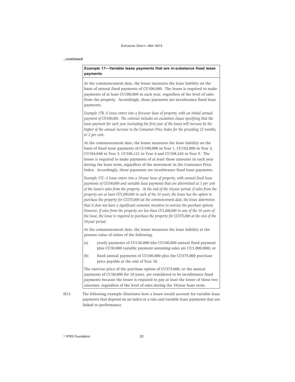#### *...continued*

## **Example 17—Variable lease payments that are in-substance fixed lease payments**

At the commencement date, the lessee measures the lease liability on the basis of annual fixed payments of CU100,000. The lessee is required to make payments of at least CU100,000 in each year, regardless of the level of sales from the property. Accordingly, those payments are in-substance fixed lease payments.

*Example 17B: A lessee enters into a five-year lease of property, with an initial annual payment of CU100,000. The contract includes an escalation clause specifying that the lease payment for each year (excluding the first year of the lease) will increase by the higher of the annual increase in the Consumer Price Index for the preceding 12 months, or 2 per cent.*

At the commencement date, the lessee measures the lease liability on the basis of fixed lease payments of CU100,000 in Year 1, CU102,000 in Year 2, CU104,040 in Year 3, CU106,121 in Year 4 and CU108,243 in Year 5. The lessee is required to make payments of at least those amounts in each year during the lease term, regardless of the movement in the Consumer Price Index. Accordingly, those payments are in-substance fixed lease payments.

*Example 17C: A lessee enters into a 10-year lease of property, with annual fixed lease payments of CU100,000 and variable lease payments that are determined as 3 per cent of the lessee's sales from the property. At the end of the 10-year period, if sales from the property are at least CU1,000,000 in each of the 10 years, the lessee has the option to purchase the property for CU375,000 (at the commencement date, the lessee determines that it does not have a significant economic incentive to exercise the purchase option). However, if sales from the property are less than CU1,000,000 in any of the 10 years of the lease, the lessee is required to purchase the property for CU375,000 at the end of the 10-year period.*

At the commencement date, the lessee measures the lease liability at the present value of either of the following:

- (a) yearly payments of CU130,000 (the CU100,000 annual fixed payment plus CU30,000 variable payment assuming sales are CU1,000,000); or
- (b) fixed annual payments of CU100,000 plus the CU375,000 purchase price payable at the end of Year 10.

The exercise price of the purchase option of CU375,000, or the annual payments of CU30,000 for 10 years, are considered to be in-substance fixed payments because the lessee is required to pay at least the lower of those two amounts, regardless of the level of sales during the 10-year lease term.

IE11 The following example illustrates how a lessee would account for variable lease payments that depend on an index or a rate and variable lease payments that are linked to performance.

<sup>©</sup> IFRS Foundation 22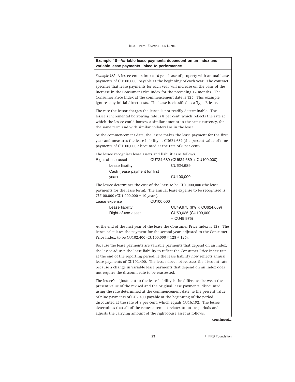**Example 18—Variable lease payments dependent on an index and variable lease payments linked to performance**

*Example 18A:* A lessee enters into a 10-year lease of property with annual lease payments of CU100,000, payable at the beginning of each year. The contract specifies that lease payments for each year will increase on the basis of the increase in the Consumer Price Index for the preceding 12 months. The Consumer Price Index at the commencement date is 125. This example ignores any initial direct costs. The lease is classified as a Type B lease.

The rate the lessor charges the lessee is not readily determinable. The lessee's incremental borrowing rate is 8 per cent, which reflects the rate at which the lessee could borrow a similar amount in the same currency, for the same term and with similar collateral as in the lease.

At the commencement date, the lessee makes the lease payment for the first year and measures the lease liability at CU624,689 (the present value of nine payments of CU100,000 discounted at the rate of 8 per cent).

The lessee recognises lease assets and liabilities as follows.

| Right-of-use asset            | CU724,689 (CU624,689 + CU100,000) |
|-------------------------------|-----------------------------------|
| Lease liability               | CU624.689                         |
| Cash (lease payment for first |                                   |
| vear)                         | CU100,000                         |

The lessee determines the cost of the lease to be CU1,000,000 (the lease payments for the lease term). The annual lease expense to be recognised is CU100,000 (CU1,000,000 ÷ 10 years).

| Lease expense      | CU100,000                 |
|--------------------|---------------------------|
| Lease liability    | CU49,975 (8% × CU624,689) |
| Right-of-use asset | CU50,025 (CU100,000       |
|                    | $-CU49.975$               |

At the end of the first year of the lease the Consumer Price Index is 128. The lessee calculates the payment for the second year, adjusted to the Consumer Price Index, to be CU102,400 (CU100,000 × 128 ÷ 125).

Because the lease payments are variable payments that depend on an index, the lessee adjusts the lease liability to reflect the Consumer Price Index rate at the end of the reporting period, ie the lease liability now reflects annual lease payments of CU102,400. The lessee does not reassess the discount rate because a change in variable lease payments that depend on an index does not require the discount rate to be reassessed.

The lessee's adjustment to the lease liability is the difference between the present value of the revised and the original lease payments, discounted using the rate determined at the commencement date, ie the present value of nine payments of CU2,400 payable at the beginning of the period, discounted at the rate of 8 per cent, which equals CU16,192. The lessee determines that all of the remeasurement relates to future periods and adjusts the carrying amount of the right-of-use asset as follows.

*continued...*

23 **Participal Executive Street Executive STRS Foundation**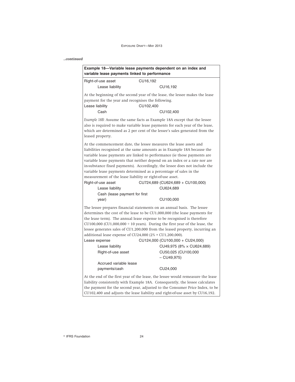## *...continued*

| variable lease payments linked to performance                                     | Example 18-Variable lease payments dependent on an index and                                                                                                                                                                                                                                                                                                                                                                                                                                     |  |  |  |
|-----------------------------------------------------------------------------------|--------------------------------------------------------------------------------------------------------------------------------------------------------------------------------------------------------------------------------------------------------------------------------------------------------------------------------------------------------------------------------------------------------------------------------------------------------------------------------------------------|--|--|--|
| Right-of-use asset                                                                | CU16,192                                                                                                                                                                                                                                                                                                                                                                                                                                                                                         |  |  |  |
| Lease liability                                                                   | CU16,192                                                                                                                                                                                                                                                                                                                                                                                                                                                                                         |  |  |  |
| payment for the year and recognises the following.<br>Lease liability             | At the beginning of the second year of the lease, the lessee makes the lease<br>CU102.400                                                                                                                                                                                                                                                                                                                                                                                                        |  |  |  |
| Cash                                                                              | CU102,400                                                                                                                                                                                                                                                                                                                                                                                                                                                                                        |  |  |  |
| leased property.                                                                  | Example 18B: Assume the same facts as Example 18A except that the lessee<br>also is required to make variable lease payments for each year of the lease,<br>which are determined as 2 per cent of the lessee's sales generated from the                                                                                                                                                                                                                                                          |  |  |  |
| measurement of the lease liability or right-of-use asset.<br>Right-of-use asset   | At the commencement date, the lessee measures the lease assets and<br>liabilities recognised at the same amounts as in Example 18A because the<br>variable lease payments are linked to performance (ie those payments are<br>variable lease payments that neither depend on an index or a rate nor are<br>in-substance fixed payments). Accordingly, the lessee does not include the<br>variable lease payments determined as a percentage of sales in the<br>CU724,689 (CU624,689 + CU100,000) |  |  |  |
| Lease liability                                                                   | CU624,689                                                                                                                                                                                                                                                                                                                                                                                                                                                                                        |  |  |  |
| Cash (lease payment for first                                                     |                                                                                                                                                                                                                                                                                                                                                                                                                                                                                                  |  |  |  |
| year)                                                                             | CU100,000                                                                                                                                                                                                                                                                                                                                                                                                                                                                                        |  |  |  |
| additional lease expense of $CU24,000 (2% \times CU1,200,000)$ .<br>Lease expense | The lessee prepares financial statements on an annual basis. The lessee<br>determines the cost of the lease to be $CU1,000,000$ (the lease payments for<br>the lease term). The annual lease expense to be recognised is therefore<br>CU100,000 (CU1,000,000 $\div$ 10 years). During the first year of the lease, the<br>lessee generates sales of CU1,200,000 from the leased property, incurring an<br>CU124,000 (CU100,000 + CU24,000)                                                       |  |  |  |
| Lease liability                                                                   | $CU49,975 (8% \times CU624,689)$                                                                                                                                                                                                                                                                                                                                                                                                                                                                 |  |  |  |
| Right-of-use asset                                                                | CU50,025 (CU100,000<br>$-$ CU49,975)                                                                                                                                                                                                                                                                                                                                                                                                                                                             |  |  |  |
| Accrued variable lease                                                            |                                                                                                                                                                                                                                                                                                                                                                                                                                                                                                  |  |  |  |
| payments/cash                                                                     | CU24,000                                                                                                                                                                                                                                                                                                                                                                                                                                                                                         |  |  |  |
|                                                                                   | At the end of the first year of the lease, the lessee would remeasure the lease<br>liability consistently with Example 18A. Consequently, the lessee calculates                                                                                                                                                                                                                                                                                                                                  |  |  |  |
|                                                                                   | the payment for the second year, adjusted to the Consumer Price Index, to be                                                                                                                                                                                                                                                                                                                                                                                                                     |  |  |  |
| CU102,400 and adjusts the lease liability and right-of-use asset by CU16,192.     |                                                                                                                                                                                                                                                                                                                                                                                                                                                                                                  |  |  |  |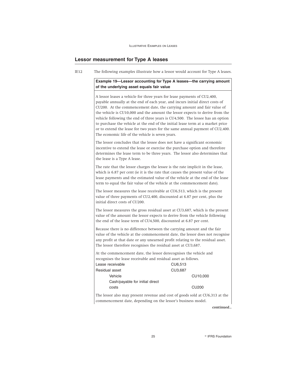## **Lessor measurement for Type A leases**

| IE12 | The following examples illustrate how a lessor would account for Type A leases.                                                                                                                                                                                                                                                                                                                                                                                                                                                                                                                                           |  |  |
|------|---------------------------------------------------------------------------------------------------------------------------------------------------------------------------------------------------------------------------------------------------------------------------------------------------------------------------------------------------------------------------------------------------------------------------------------------------------------------------------------------------------------------------------------------------------------------------------------------------------------------------|--|--|
|      | Example 19-Lessor accounting for Type A leases-the carrying amount<br>of the underlying asset equals fair value                                                                                                                                                                                                                                                                                                                                                                                                                                                                                                           |  |  |
|      | A lessor leases a vehicle for three years for lease payments of CU2,400,<br>payable annually at the end of each year, and incurs initial direct costs of<br>CU200. At the commencement date, the carrying amount and fair value of<br>the vehicle is CU10,000 and the amount the lessor expects to derive from the<br>vehicle following the end of three years is CU4,500. The lessee has an option<br>to purchase the vehicle at the end of the initial lease term at a market price<br>or to extend the lease for two years for the same annual payment of CU2,400.<br>The economic life of the vehicle is seven years. |  |  |
|      | The lessor concludes that the lessee does not have a significant economic<br>incentive to extend the lease or exercise the purchase option and therefore<br>determines the lease term to be three years. The lessor also determines that<br>the lease is a Type A lease.                                                                                                                                                                                                                                                                                                                                                  |  |  |
|      | The rate that the lessor charges the lessee is the rate implicit in the lease,<br>which is 6.87 per cent (ie it is the rate that causes the present value of the<br>lease payments and the estimated value of the vehicle at the end of the lease<br>term to equal the fair value of the vehicle at the commencement date).                                                                                                                                                                                                                                                                                               |  |  |
|      | The lessor measures the lease receivable at CU6,513, which is the present<br>value of three payments of CU2,400, discounted at 6.87 per cent, plus the<br>initial direct costs of CU200.                                                                                                                                                                                                                                                                                                                                                                                                                                  |  |  |
|      | The lessor measures the gross residual asset at CU3,687, which is the present<br>value of the amount the lessor expects to derive from the vehicle following<br>the end of the lease term of CU4,500, discounted at 6.87 per cent.                                                                                                                                                                                                                                                                                                                                                                                        |  |  |
|      | Because there is no difference between the carrying amount and the fair<br>value of the vehicle at the commencement date, the lessor does not recognise<br>any profit at that date or any unearned profit relating to the residual asset.<br>The lessor therefore recognises the residual asset at CU3,687.                                                                                                                                                                                                                                                                                                               |  |  |
|      | At the commencement date, the lessor derecognises the vehicle and<br>recognises the lease receivable and residual asset as follows.                                                                                                                                                                                                                                                                                                                                                                                                                                                                                       |  |  |
|      | Lease receivable<br>CU6,513<br>Residual asset<br>CU3,687                                                                                                                                                                                                                                                                                                                                                                                                                                                                                                                                                                  |  |  |
|      | Vehicle<br>CU10,000<br>Cash/payable for initial direct                                                                                                                                                                                                                                                                                                                                                                                                                                                                                                                                                                    |  |  |
|      | <b>CU200</b><br>costs                                                                                                                                                                                                                                                                                                                                                                                                                                                                                                                                                                                                     |  |  |
|      | The lessor also may present revenue and cost of goods sold at CU6,313 at the<br>commencement date, depending on the lessor's business model.                                                                                                                                                                                                                                                                                                                                                                                                                                                                              |  |  |

*continued...*

25 **Participal Contract Contract Contract Contract Contract Contract Contract Contract Contract Contract Contract Contract Contract Contract Contract Contract Contract Contract Contract Contract Contract Contract Contract**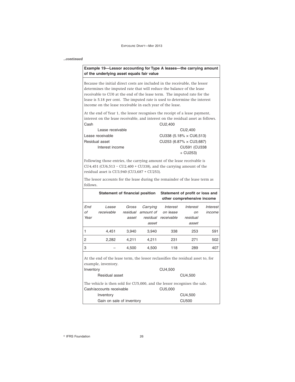## *...continued*

## **Example 19—Lessor accounting for Type A leases—the carrying amount of the underlying asset equals fair value**

Because the initial direct costs are included in the receivable, the lessor determines the imputed rate that will reduce the balance of the lease receivable to CU0 at the end of the lease term. The imputed rate for the lease is 5.18 per cent. The imputed rate is used to determine the interest income on the lease receivable in each year of the lease.

At the end of Year 1, the lessor recognises the receipt of a lease payment, interest on the lease receivable, and interest on the residual asset as follows. Cash Cu2,400

| Lease receivable | CU2.400                        |
|------------------|--------------------------------|
| Lease receivable | CU338 (5.18% x CU6.513)        |
| Residual asset   | CU253 (6.87% $\times$ CU3,687) |
| Interest income  | CU591 (CU338                   |
|                  | $+$ CU253)                     |

Following those entries, the carrying amount of the lease receivable is CU4,451 (CU6,513 – CU2,400 + CU338), and the carrying amount of the residual asset is CU3,940 (CU3,687 + CU253).

The lessor accounts for the lease during the remainder of the lease term as follows.

|      | Statement of financial position |          |           |            | Statement of profit or loss and<br>other comprehensive income |          |
|------|---------------------------------|----------|-----------|------------|---------------------------------------------------------------|----------|
| End  | Lease                           | Gross    | Carrying  | Interest   | Interest                                                      | Interest |
| οf   | receivable                      | residual | amount of | on lease   | on                                                            | income   |
| Year |                                 | asset    | residual  | receivable | residual                                                      |          |
|      |                                 |          | asset     |            | asset                                                         |          |
|      | 4.451                           | 3.940    | 3.940     | 338        | 253                                                           | 591      |
| 2    | 2,282                           | 4,211    | 4,211     | 231        | 271                                                           | 502      |
| 3    |                                 | 4.500    | 4,500     | 118        | 289                                                           | 407      |
|      |                                 |          |           |            |                                                               |          |

At the end of the lease term, the lessor reclassifies the residual asset to, for example, inventory.

| Inventory                                                                 | CU4,500      |
|---------------------------------------------------------------------------|--------------|
| Residual asset                                                            | CU4,500      |
| The vehicle is then sold for CU5,000, and the lessor recognises the sale. |              |
| Cash/accounts receivable                                                  | CU5,000      |
| Inventory                                                                 | CU4,500      |
| Gain on sale of inventory                                                 | <b>CU500</b> |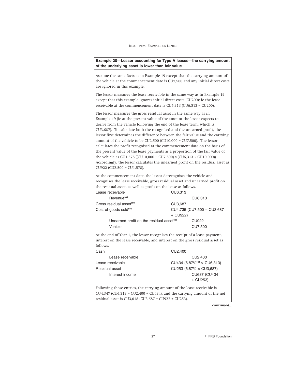**Example 20—Lessor accounting for Type A leases—the carrying amount of the underlying asset is lower than fair value**

Assume the same facts as in Example 19 except that the carrying amount of the vehicle at the commencement date is CU7,500 and any initial direct costs are ignored in this example.

The lessor measures the lease receivable in the same way as in Example 19, except that this example ignores initial direct costs (CU200); ie the lease receivable at the commencement date is CU6,313 (CU6,513 – CU200).

The lessor measures the gross residual asset in the same way as in Example 19 (ie at the present value of the amount the lessor expects to derive from the vehicle following the end of the lease term, which is CU3,687). To calculate both the recognised and the unearned profit, the lessor first determines the difference between the fair value and the carrying amount of the vehicle to be CU2,500 (CU10,000 – CU7,500). The lessor calculates the profit recognised at the commencement date on the basis of the present value of the lease payments as a proportion of the fair value of the vehicle as CU1,578 ((CU10,000 – CU7,500) × (CU6,313 ÷ CU10,000)). Accordingly, the lessor calculates the unearned profit on the residual asset as CU922 (CU2,500 – CU1,578).

At the commencement date, the lessor derecognises the vehicle and recognises the lease receivable, gross residual asset and unearned profit on the residual asset, as well as profit on the lease as follows.

| l Lease receivable                                   | CU6.313                     |  |
|------------------------------------------------------|-----------------------------|--|
| Revenue <sup>(a)</sup>                               | CU6.313                     |  |
| Gross residual asset <sup>(b)</sup>                  | CU3,687                     |  |
| Cost of goods sold <sup>(a)</sup>                    | CU4,735 (CU7,500 - CU3,687) |  |
|                                                      | $+$ CU922)                  |  |
| Unearned profit on the residual asset <sup>(b)</sup> | CU922                       |  |
| Vehicle                                              | CU7.500                     |  |

At the end of Year 1, the lessor recognises the receipt of a lease payment, interest on the lease receivable, and interest on the gross residual asset as follows.

| Cash             | CU2.400                                       |
|------------------|-----------------------------------------------|
| Lease receivable | CU2.400                                       |
| Lease receivable | CU434 (6.87% <sup>(c)</sup> $\times$ CU6,313) |
| Residual asset   | CU253 (6.87% $\times$ CU3,687)                |
| Interest income  | CU687 (CU434                                  |
|                  | $+$ CU253)                                    |

Following those entries, the carrying amount of the lease receivable is CU4,347 (CU6,313 – CU2,400 + CU434), and the carrying amount of the net residual asset is CU3,018 (CU3,687 – CU922 + CU253).

*continued...*

27 **Research Street Section** PIFRS Foundation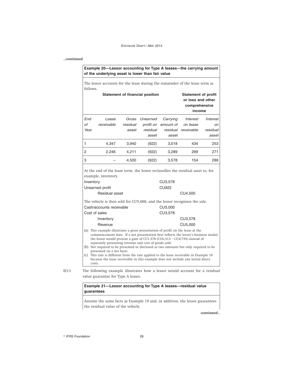## *...continued*

| follows.  | The lessor accounts for the lease during the remainder of the lease term as                                                                                                                                                                                                                                                                                                                                                                                                                                                                                                                                             |                   |                                        |                                |                                                                            |                         |
|-----------|-------------------------------------------------------------------------------------------------------------------------------------------------------------------------------------------------------------------------------------------------------------------------------------------------------------------------------------------------------------------------------------------------------------------------------------------------------------------------------------------------------------------------------------------------------------------------------------------------------------------------|-------------------|----------------------------------------|--------------------------------|----------------------------------------------------------------------------|-------------------------|
|           |                                                                                                                                                                                                                                                                                                                                                                                                                                                                                                                                                                                                                         |                   | <b>Statement of financial position</b> |                                | <b>Statement of profit</b><br>or loss and other<br>comprehensive<br>income |                         |
| End<br>οf | Lease                                                                                                                                                                                                                                                                                                                                                                                                                                                                                                                                                                                                                   | Gross             | Unearned                               | Carrying                       | <b>Interest</b>                                                            | Interest                |
| Year      | receivable                                                                                                                                                                                                                                                                                                                                                                                                                                                                                                                                                                                                              | residual<br>asset | profit on<br>residual<br>asset         | amount of<br>residual<br>asset | on lease<br>receivable                                                     | on<br>residual<br>asset |
| 1         | 4,347                                                                                                                                                                                                                                                                                                                                                                                                                                                                                                                                                                                                                   | 3,940             | (922)                                  | 3,018                          | 434                                                                        | 253                     |
| 2         | 2,246                                                                                                                                                                                                                                                                                                                                                                                                                                                                                                                                                                                                                   | 4,211             | (922)                                  | 3,289                          | 299                                                                        | 271                     |
| 3         |                                                                                                                                                                                                                                                                                                                                                                                                                                                                                                                                                                                                                         | 4,500             | (922)                                  | 3,578                          | 154                                                                        | 289                     |
| Inventory | Unearned profit                                                                                                                                                                                                                                                                                                                                                                                                                                                                                                                                                                                                         |                   |                                        | CU3,578<br><b>CU922</b>        |                                                                            |                         |
|           | Residual asset                                                                                                                                                                                                                                                                                                                                                                                                                                                                                                                                                                                                          |                   |                                        |                                | CU4,500                                                                    |                         |
|           | The vehicle is then sold for CU5,000, and the lessor recognises the sale.<br>Cash/accounts receivable                                                                                                                                                                                                                                                                                                                                                                                                                                                                                                                   |                   |                                        | CU5,000                        |                                                                            |                         |
|           | Cost of sales                                                                                                                                                                                                                                                                                                                                                                                                                                                                                                                                                                                                           |                   |                                        | CU3,578                        |                                                                            |                         |
|           | Inventory<br>Revenue                                                                                                                                                                                                                                                                                                                                                                                                                                                                                                                                                                                                    |                   |                                        |                                | CU3,578<br>CU5,000                                                         |                         |
|           | (a) This example illustrates a gross presentation of profit on the lease at the<br>commencement date. If a net presentation best reflects the lessor's business model,<br>the lessor would present a gain of $CU1,578$ ( $CU6,313$ - $CU4,735$ ) instead of<br>separately presenting revenue and cost of goods sold.<br>(b) Not required to be presented or disclosed as two amounts but only required to be<br>presented on a net basis.<br>(c) This rate is different from the rate applied to the lease receivable in Example 19<br>because the lease receivable in this example does not include any initial direct |                   |                                        |                                |                                                                            |                         |

value guarantee for Type A leases.

## **Example 21—Lessor accounting for Type A leases—residual value guarantees**

Assume the same facts as Example 19 and, in addition, the lessee guarantees the residual value of the vehicle.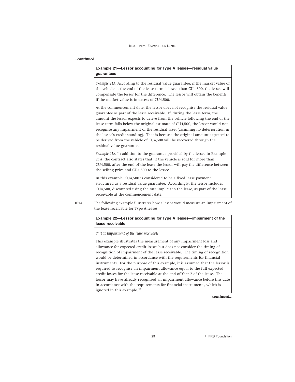#### *...continued*

## **Example 21—Lessor accounting for Type A leases—residual value guarantees**

*Example 21A:* According to the residual value guarantee, if the market value of the vehicle at the end of the lease term is lower than CU4,500, the lessee will compensate the lessor for the difference. The lessor will obtain the benefits if the market value is in excess of CU4,500.

At the commencement date, the lessor does not recognise the residual value guarantee as part of the lease receivable. If, during the lease term, the amount the lessor expects to derive from the vehicle following the end of the lease term falls below the original estimate of CU4,500, the lessor would not recognise any impairment of the residual asset (assuming no deterioration in the lessee's credit standing). That is because the original amount expected to be derived from the vehicle of CU4,500 will be recovered through the residual value guarantee.

*Example 21B:* In addition to the guarantee provided by the lessee in Example 21A, the contract also states that, if the vehicle is sold for more than CU4,500, after the end of the lease the lessor will pay the difference between the selling price and CU4,500 to the lessee.

In this example, CU4,500 is considered to be a fixed lease payment structured as a residual value guarantee. Accordingly, the lessor includes CU4,500, discounted using the rate implicit in the lease, as part of the lease receivable at the commencement date.

IE14 The following example illustrates how a lessor would measure an impairment of the lease receivable for Type A leases.

## **Example 22—Lessor accounting for Type A leases—impairment of the lease receivable**

*Part 1: Impairment of the lease receivable*

This example illustrates the measurement of any impairment loss and allowance for expected credit losses but does not consider the timing of recognition of impairment of the lease receivable. The timing of recognition would be determined in accordance with the requirements for financial instruments. For the purpose of this example, it is assumed that the lessor is required to recognise an impairment allowance equal to the full expected credit losses for the lease receivable at the end of Year 2 of the lease. The lessor may have already recognised an impairment allowance before this date in accordance with the requirements for financial instruments, which is ignored in this example.<sup>(a)</sup>

*continued...*

29 **PERS Foundation**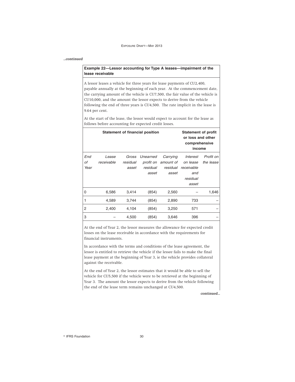## *...continued*

## **Example 22—Lessor accounting for Type A leases—impairment of the lease receivable**

A lessor leases a vehicle for three years for lease payments of CU2,400, payable annually at the beginning of each year. At the commencement date, the carrying amount of the vehicle is CU7,500, the fair value of the vehicle is CU10,000, and the amount the lessor expects to derive from the vehicle following the end of three years is CU4,500. The rate implicit in the lease is 9.64 per cent.

At the start of the lease, the lessor would expect to account for the lease as follows before accounting for expected credit losses.

| <b>Statement of financial position</b> |            |          |           |           | <b>Statement of profit</b><br>or loss and other<br>comprehensive<br>income |           |
|----------------------------------------|------------|----------|-----------|-----------|----------------------------------------------------------------------------|-----------|
| End                                    | Lease      | Gross    | Unearned  | Carrying  | Interest                                                                   | Profit on |
| Οf                                     | receivable | residual | profit on | amount of | on lease                                                                   | the lease |
| Year                                   |            | asset    | residual  | residual  | receivable                                                                 |           |
|                                        |            |          | asset     | asset     | and                                                                        |           |
|                                        |            |          |           |           | residual                                                                   |           |
|                                        |            |          |           |           | asset                                                                      |           |
| 0                                      | 6,586      | 3,414    | (854)     | 2,560     |                                                                            | 1,646     |
| 1                                      | 4,589      | 3,744    | (854)     | 2,890     | 733                                                                        |           |
| $\overline{2}$                         | 2,400      | 4,104    | (854)     | 3,250     | 571                                                                        |           |
| 3                                      |            | 4,500    | (854)     | 3,646     | 396                                                                        |           |

At the end of Year 2, the lessor measures the allowance for expected credit losses on the lease receivable in accordance with the requirements for financial instruments.

In accordance with the terms and conditions of the lease agreement, the lessor is entitled to retrieve the vehicle if the lessee fails to make the final lease payment at the beginning of Year 3, ie the vehicle provides collateral against the receivable.

At the end of Year 2, the lessor estimates that it would be able to sell the vehicle for CU5,500 if the vehicle were to be retrieved at the beginning of Year 3. The amount the lessor expects to derive from the vehicle following the end of the lease term remains unchanged at CU4,500.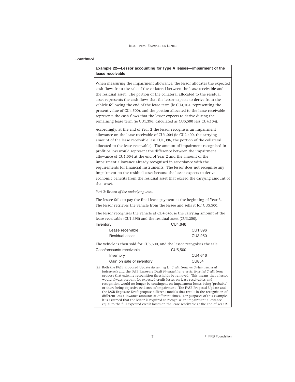#### *...continued*

## **Example 22—Lessor accounting for Type A leases—impairment of the lease receivable**

When measuring the impairment allowance, the lessor allocates the expected cash flows from the sale of the collateral between the lease receivable and the residual asset. The portion of the collateral allocated to the residual asset represents the cash flows that the lessor expects to derive from the vehicle following the end of the lease term (ie CU4,104, representing the present value of CU4,500), and the portion allocated to the lease receivable represents the cash flows that the lessor expects to derive during the remaining lease term (ie CU1,396, calculated as CU5,500 less CU4,104).

Accordingly, at the end of Year 2 the lessor recognises an impairment allowance on the lease receivable of CU1,004 (ie CU2,400, the carrying amount of the lease receivable less CU1,396, the portion of the collateral allocated to the lease receivable). The amount of impairment recognised in profit or loss would represent the difference between the impairment allowance of CU1,004 at the end of Year 2 and the amount of the impairment allowance already recognised in accordance with the requirements for financial instruments. The lessor does not recognise any impairment on the residual asset because the lessor expects to derive economic benefits from the residual asset that exceed the carrying amount of that asset.

*Part 2: Return of the underlying asset*

The lessee fails to pay the final lease payment at the beginning of Year 3. The lessor retrieves the vehicle from the lessee and sells it for CU5,500.

The lessor recognises the vehicle at CU4,646, ie the carrying amount of the lease receivable (CU1,396) and the residual asset (CU3,250).

| CU4.646<br>Inventory      |         |
|---------------------------|---------|
| Lease receivable          | CU1.396 |
| CU3.250<br>Residual asset |         |

The vehicle is then sold for CU5,500, and the lessor recognises the sale: Cash/accounts receivable CU5,500

| Inventory                 | CU4.646      |
|---------------------------|--------------|
| Gain on sale of inventory | <b>CU854</b> |

(a) Both the FASB Proposed Update *Accounting for Credit Losses on Certain Financial Instruments* and the IASB Exposure Draft *Financial Instruments: Expected Credit Losses* propose that existing recognition thresholds be removed. This means that a lessor would always account for expected credit losses on lease receivables and recognition would no longer be contingent on impairment losses being 'probable' or there being objective evidence of impairment. The FASB Proposed Update and the IASB Exposure Draft propose different models that result in the recognition of different loss allowance amounts at different times. For purposes of this example, it is assumed that the lessor is required to recognise an impairment allowance equal to the full expected credit losses on the lease receivable at the end of Year 2.

31 **CONSIDERS** Foundation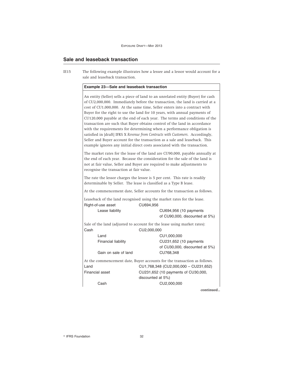## **Sale and leaseback transaction**

IE15 The following example illustrates how a lessee and a lessor would account for a sale and leaseback transaction.

## **Example 23—Sale and leaseback transaction**

An entity (Seller) sells a piece of land to an unrelated entity (Buyer) for cash of CU2,000,000. Immediately before the transaction, the land is carried at a cost of CU1,000,000. At the same time, Seller enters into a contract with Buyer for the right to use the land for 10 years, with annual payments of CU120,000 payable at the end of each year. The terms and conditions of the transaction are such that Buyer obtains control of the land in accordance with the requirements for determining when a performance obligation is satisfied in [draft] IFRS X *Revenue from Contracts with Customers*. Accordingly, Seller and Buyer account for the transaction as a sale and leaseback. This example ignores any initial direct costs associated with the transaction.

The market rates for the lease of the land are CU90,000, payable annually at the end of each year. Because the consideration for the sale of the land is not at fair value, Seller and Buyer are required to make adjustments to recognise the transaction at fair value.

The rate the lessor charges the lessee is 5 per cent. This rate is readily determinable by Seller. The lease is classified as a Type B lease.

At the commencement date, Seller accounts for the transaction as follows.

Leaseback of the land recognised using the market rates for the lease. Right-of-use asset CU694,956

Lease liability CU694,956 (10 payments of CU90,000, discounted at 5%)

Sale of the land (adjusted to account for the lease using market rates): Cash CU2,000,000

| Land                                                                     | CU1,000,000                           |  |
|--------------------------------------------------------------------------|---------------------------------------|--|
| Financial liability                                                      | CU231,652 (10 payments                |  |
|                                                                          | of CU30,000, discounted at 5%)        |  |
| Gain on sale of land                                                     | CU768,348                             |  |
| At the commencement date, Buyer accounts for the transaction as follows. |                                       |  |
| Land                                                                     | CU1,768,348 (CU2,000,000 - CU231,652) |  |
| Financial asset                                                          | CU231,652 (10 payments of CU30,000,   |  |
|                                                                          | discounted at 5%)                     |  |
| Cash                                                                     | CU2,000,000                           |  |
|                                                                          |                                       |  |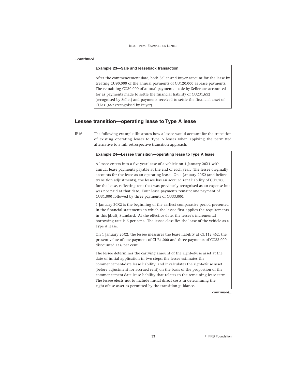#### *...continued*

#### **Example 23—Sale and leaseback transaction**

After the commencement date, both Seller and Buyer account for the lease by treating CU90,000 of the annual payments of CU120,000 as lease payments. The remaining CU30,000 of annual payments made by Seller are accounted for as payments made to settle the financial liability of CU231,652 (recognised by Seller) and payments received to settle the financial asset of CU231,652 (recognised by Buyer).

## **Lessee transition—operating lease to Type A lease**

IE16 The following example illustrates how a lessee would account for the transition of existing operating leases to Type A leases when applying the permitted alternative to a full retrospective transition approach.

## **Example 24—Lessee transition—operating lease to Type A lease**

A lessee enters into a five-year lease of a vehicle on 1 January 20X1 with annual lease payments payable at the end of each year. The lessee originally accounts for the lease as an operating lease. On 1 January 20X2 (and before transition adjustments), the lessee has an accrued rent liability of CU1,200 for the lease, reflecting rent that was previously recognised as an expense but was not paid at that date. Four lease payments remain: one payment of CU31,000 followed by three payments of CU33,000.

1 January 20X2 is the beginning of the earliest comparative period presented in the financial statements in which the lessee first applies the requirements in this [draft] Standard. At the effective date, the lessee's incremental borrowing rate is 6 per cent. The lessee classifies the lease of the vehicle as a Type A lease.

On 1 January 20X2, the lessee measures the lease liability at CU112,462, the present value of one payment of CU31,000 and three payments of CU33,000, discounted at 6 per cent.

The lessee determines the carrying amount of the right-of-use asset at the date of initial application in two steps: the lessee estimates the commencement-date lease liability, and it calculates the right-of-use asset (before adjustment for accrued rent) on the basis of the proportion of the commencement-date lease liability that relates to the remaining lease term. The lessee elects not to include initial direct costs in determining the right-of-use asset as permitted by the transition guidance.

*continued...*

33 **R IFRS Foundation**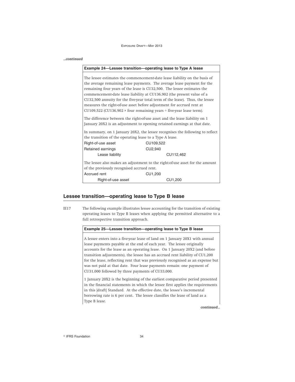| continued |                                                                                                                                                                                                                                                                                                                                                                                                                                                                                                                                                                                                                                                                                                                    |                                                                              |
|-----------|--------------------------------------------------------------------------------------------------------------------------------------------------------------------------------------------------------------------------------------------------------------------------------------------------------------------------------------------------------------------------------------------------------------------------------------------------------------------------------------------------------------------------------------------------------------------------------------------------------------------------------------------------------------------------------------------------------------------|------------------------------------------------------------------------------|
|           |                                                                                                                                                                                                                                                                                                                                                                                                                                                                                                                                                                                                                                                                                                                    | Example 24—Lessee transition—operating lease to Type A lease                 |
|           | The lessee estimates the commencement-date lease liability on the basis of<br>the average remaining lease payments. The average lease payment for the<br>remaining four years of the lease is CU32,500. The lessee estimates the<br>commencement-date lease liability at CU136,902 (the present value of a<br>CU32,500 annuity for the five-year total term of the lease). Thus, the lessee<br>measures the right-of-use asset before adjustment for accrued rent at<br>CU109,522 (CU136,902 $\times$ four remaining years $\div$ five-year lease term).<br>The difference between the right-of-use asset and the lease liability on 1<br>January 20X2 is an adjustment to opening retained earnings at that date. |                                                                              |
|           | In summary, on 1 January 20X2, the lessee recognises the following to reflect<br>the transition of the operating lease to a Type A lease.<br>Right-of-use asset<br>CU109,522                                                                                                                                                                                                                                                                                                                                                                                                                                                                                                                                       |                                                                              |
|           | Retained earnings                                                                                                                                                                                                                                                                                                                                                                                                                                                                                                                                                                                                                                                                                                  | CU2,940                                                                      |
|           | Lease liability                                                                                                                                                                                                                                                                                                                                                                                                                                                                                                                                                                                                                                                                                                    | CU112,462                                                                    |
|           | of the previously recognised accrued rent.                                                                                                                                                                                                                                                                                                                                                                                                                                                                                                                                                                                                                                                                         | The lessee also makes an adjustment to the right-of-use asset for the amount |
|           | Accrued rent                                                                                                                                                                                                                                                                                                                                                                                                                                                                                                                                                                                                                                                                                                       | CU1,200                                                                      |
|           | Right-of-use asset                                                                                                                                                                                                                                                                                                                                                                                                                                                                                                                                                                                                                                                                                                 | CU1,200                                                                      |

## **Lessee transition—operating lease to Type B lease**

IE17 The following example illustrates lessee accounting for the transition of existing operating leases to Type B leases when applying the permitted alternative to a full retrospective transition approach.

## **Example 25—Lessee transition—operating lease to Type B lease**

A lessee enters into a five-year lease of land on 1 January 20X1 with annual lease payments payable at the end of each year. The lessee originally accounts for the lease as an operating lease. On 1 January 20X2 (and before transition adjustments), the lessee has an accrued rent liability of CU1,200 for the lease, reflecting rent that was previously recognised as an expense but was not paid at that date. Four lease payments remain: one payment of CU31,000 followed by three payments of CU33,000.

1 January 20X2 is the beginning of the earliest comparative period presented in the financial statements in which the lessee first applies the requirements in this [draft] Standard. At the effective date, the lessee's incremental borrowing rate is 6 per cent. The lessee classifies the lease of land as a Type B lease.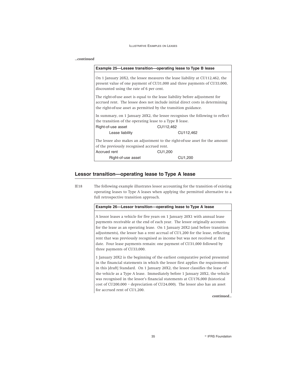#### *...continued*

| Example 25-Lessee transition-operating lease to Type B lease                                                                                                                                                                     |           |  |
|----------------------------------------------------------------------------------------------------------------------------------------------------------------------------------------------------------------------------------|-----------|--|
| On 1 January 20X2, the lessee measures the lease liability at CU112,462, the<br>present value of one payment of CU31,000 and three payments of CU33,000,<br>discounted using the rate of 6 per cent.                             |           |  |
| The right-of-use asset is equal to the lease liability before adjustment for<br>accrued rent. The lessee does not include initial direct costs in determining<br>the right-of-use asset as permitted by the transition guidance. |           |  |
| In summary, on 1 January 20X2, the lessee recognises the following to reflect<br>the transition of the operating lease to a Type B lease.                                                                                        |           |  |
| Right-of-use asset                                                                                                                                                                                                               | CU112,462 |  |
| Lease liability                                                                                                                                                                                                                  | CU112,462 |  |
| The lessee also makes an adjustment to the right-of-use asset for the amount                                                                                                                                                     |           |  |
| of the previously recognised accrued rent.                                                                                                                                                                                       |           |  |
| Accrued rent                                                                                                                                                                                                                     | CU1,200   |  |
| Right-of-use asset                                                                                                                                                                                                               | CU1.200   |  |

#### **Lessor transition—operating lease to Type A lease**

IE18 The following example illustrates lessor accounting for the transition of existing operating leases to Type A leases when applying the permitted alternative to a full retrospective transition approach.

## **Example 26—Lessor transition—operating lease to Type A lease**

A lessor leases a vehicle for five years on 1 January 20X1 with annual lease payments receivable at the end of each year. The lessor originally accounts for the lease as an operating lease. On 1 January 20X2 (and before transition adjustments), the lessor has a rent accrual of CU1,200 for the lease, reflecting rent that was previously recognised as income but was not received at that date. Four lease payments remain: one payment of CU31,000 followed by three payments of CU33,000.

1 January 20X2 is the beginning of the earliest comparative period presented in the financial statements in which the lessor first applies the requirements in this [draft] Standard. On 1 January 20X2, the lessor classifies the lease of the vehicle as a Type A lease. Immediately before 1 January 20X2, the vehicle was recognised in the lessor's financial statements at CU176,000 (historical cost of CU200,000 – depreciation of CU24,000). The lessor also has an asset for accrued rent of CU1,200.